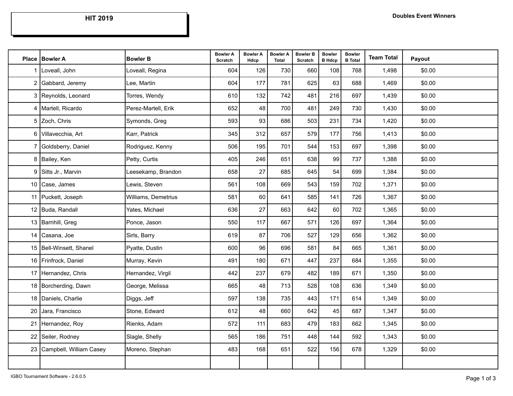**HIT 2019**

| Place   Bowler A           | <b>Bowler B</b>     | <b>Bowler A</b><br>Scratch | <b>Bowler A</b><br>Hdcp | <b>Bowler A</b><br><b>Total</b> | <b>Bowler B</b><br>Scratch | <b>Bowler</b><br><b>B</b> Hdcp | <b>Bowler</b><br><b>B</b> Total | <b>Team Total</b> | Payout |
|----------------------------|---------------------|----------------------------|-------------------------|---------------------------------|----------------------------|--------------------------------|---------------------------------|-------------------|--------|
| 1 Loveall, John            | Loveall, Regina     | 604                        | 126                     | 730                             | 660                        | 108                            | 768                             | 1,498             | \$0.00 |
| 2 Gabbard, Jeremy          | Lee, Martin         | 604                        | 177                     | 781                             | 625                        | 63                             | 688                             | 1,469             | \$0.00 |
| 3 Reynolds, Leonard        | Torres, Wendy       | 610                        | 132                     | 742                             | 481                        | 216                            | 697                             | 1,439             | \$0.00 |
| 4   Martell, Ricardo       | Perez-Martell, Erik | 652                        | 48                      | 700                             | 481                        | 249                            | 730                             | 1,430             | \$0.00 |
| 5 Zoch, Chris              | Symonds, Greg       | 593                        | 93                      | 686                             | 503                        | 231                            | 734                             | 1,420             | \$0.00 |
| 6 Villavecchia, Art        | Karr, Patrick       | 345                        | 312                     | 657                             | 579                        | 177                            | 756                             | 1,413             | \$0.00 |
| 7 Goldsberry, Daniel       | Rodriguez, Kenny    | 506                        | 195                     | 701                             | 544                        | 153                            | 697                             | 1,398             | \$0.00 |
| 8 Bailey, Ken              | Petty, Curtis       | 405                        | 246                     | 651                             | 638                        | 99                             | 737                             | 1,388             | \$0.00 |
| 9 Sitts Jr., Marvin        | Leesekamp, Brandon  | 658                        | 27                      | 685                             | 645                        | 54                             | 699                             | 1,384             | \$0.00 |
| 10 Case, James             | Lewis, Steven       | 561                        | 108                     | 669                             | 543                        | 159                            | 702                             | 1,371             | \$0.00 |
| 11 Puckett, Joseph         | Williams, Demetrius | 581                        | 60                      | 641                             | 585                        | 141                            | 726                             | 1,367             | \$0.00 |
| 12 Buda, Randall           | Yates, Michael      | 636                        | 27                      | 663                             | 642                        | 60                             | 702                             | 1,365             | \$0.00 |
| 13 Barnhill, Greg          | Ponce, Jason        | 550                        | 117                     | 667                             | 571                        | 126                            | 697                             | 1,364             | \$0.00 |
| 14 Casana, Joe             | Sirls, Barry        | 619                        | 87                      | 706                             | 527                        | 129                            | 656                             | 1,362             | \$0.00 |
| 15   Bell-Winsett, Shanel  | Pyatte, Dustin      | 600                        | 96                      | 696                             | 581                        | 84                             | 665                             | 1,361             | \$0.00 |
| 16 Frinfrock, Daniel       | Murray, Kevin       | 491                        | 180                     | 671                             | 447                        | 237                            | 684                             | 1,355             | \$0.00 |
| 17 Hernandez, Chris        | Hernandez, Virgil   | 442                        | 237                     | 679                             | 482                        | 189                            | 671                             | 1,350             | \$0.00 |
| 18 Borcherding, Dawn       | George, Melissa     | 665                        | 48                      | 713                             | 528                        | 108                            | 636                             | 1,349             | \$0.00 |
| 18 Daniels, Charlie        | Diggs, Jeff         | 597                        | 138                     | 735                             | 443                        | 171                            | 614                             | 1,349             | \$0.00 |
| 20 Jara, Francisco         | Stone, Edward       | 612                        | 48                      | 660                             | 642                        | 45                             | 687                             | 1,347             | \$0.00 |
| 21 Hernandez, Roy          | Rienks, Adam        | 572                        | 111                     | 683                             | 479                        | 183                            | 662                             | 1,345             | \$0.00 |
| 22 Seiler, Rodney          | Slagle, Shelly      | 565                        | 186                     | 751                             | 448                        | 144                            | 592                             | 1,343             | \$0.00 |
| 23 Campbell, William Casey | Moreno, Stephan     | 483                        | 168                     | 651                             | 522                        | 156                            | 678                             | 1,329             | \$0.00 |
|                            |                     |                            |                         |                                 |                            |                                |                                 |                   |        |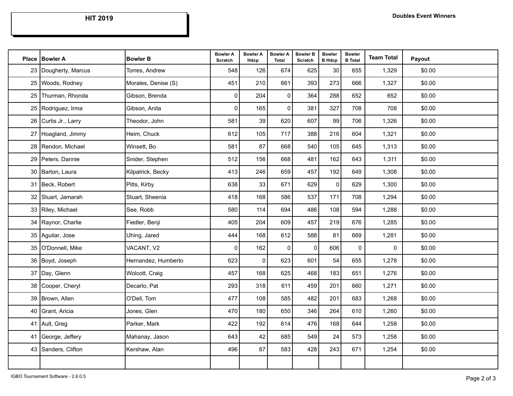**HIT 2019**

|    | Place   Bowler A     | <b>Bowler B</b>     | <b>Bowler A</b><br>Scratch | <b>Bowler A</b><br>Hdcp | <b>Bowler A</b><br><b>Total</b> | <b>Bowler B</b><br>Scratch | <b>Bowler</b><br><b>B</b> Hdcp | <b>Bowler</b><br><b>B</b> Total | <b>Team Total</b> | Payout |
|----|----------------------|---------------------|----------------------------|-------------------------|---------------------------------|----------------------------|--------------------------------|---------------------------------|-------------------|--------|
| 23 | Dougherty, Marcus    | Torres, Andrew      | 548                        | 126                     | 674                             | 625                        | 30                             | 655                             | 1,329             | \$0.00 |
| 25 | Woods, Rodney        | Morales, Denise (S) | 451                        | 210                     | 661                             | 393                        | 273                            | 666                             | 1,327             | \$0.00 |
| 25 | Thurman, Rhonda      | Gibson, Brenda      | $\mathbf 0$                | 204                     | $\mathbf 0$                     | 364                        | 288                            | 652                             | 652               | \$0.00 |
| 25 | Rodriguez, Irma      | Gibson, Anita       | $\mathbf 0$                | 165                     | $\mathbf{0}$                    | 381                        | 327                            | 708                             | 708               | \$0.00 |
| 26 | Curtis Jr., Larry    | Theodor, John       | 581                        | 39                      | 620                             | 607                        | 99                             | 706                             | 1,326             | \$0.00 |
| 27 | Hoagland, Jimmy      | Heim, Chuck         | 612                        | 105                     | 717                             | 388                        | 216                            | 604                             | 1,321             | \$0.00 |
|    | 28   Rendon, Michael | Winsett, Bo         | 581                        | 87                      | 668                             | 540                        | 105                            | 645                             | 1,313             | \$0.00 |
| 29 | Peters, Dannie       | Snider, Stephen     | 512                        | 156                     | 668                             | 481                        | 162                            | 643                             | 1,311             | \$0.00 |
|    | 30 Barton, Laura     | Kilpatrick, Becky   | 413                        | 246                     | 659                             | 457                        | 192                            | 649                             | 1,308             | \$0.00 |
| 31 | Beck, Robert         | Pitts, Kirby        | 638                        | 33                      | 671                             | 629                        | $\pmb{0}$                      | 629                             | 1,300             | \$0.00 |
|    | 32 Stuart, Jamarah   | Stuart, Sheenia     | 418                        | 168                     | 586                             | 537                        | 171                            | 708                             | 1,294             | \$0.00 |
| 33 | Riley, Michael       | See, Robb           | 580                        | 114                     | 694                             | 486                        | 108                            | 594                             | 1,288             | \$0.00 |
|    | 34 Raynor, Charlie   | Fiedler, Benji      | 405                        | 204                     | 609                             | 457                        | 219                            | 676                             | 1,285             | \$0.00 |
| 35 | Aguilar, Jose        | Uhing, Jared        | 444                        | 168                     | 612                             | 588                        | 81                             | 669                             | 1,281             | \$0.00 |
| 35 | O'Donnell, Mike      | VACANT, V2          | $\mathbf 0$                | 162                     | $\mathbf 0$                     | $\mathbf 0$                | 606                            | $\mathbf 0$                     | 0                 | \$0.00 |
| 36 | Boyd, Joseph         | Hernandez, Humberto | 623                        | $\mathbf 0$             | 623                             | 601                        | 54                             | 655                             | 1,278             | \$0.00 |
| 37 | Day, Glenn           | Wolcott, Craig      | 457                        | 168                     | 625                             | 468                        | 183                            | 651                             | 1,276             | \$0.00 |
| 38 | Cooper, Cheryl       | Decarlo, Pat        | 293                        | 318                     | 611                             | 459                        | 201                            | 660                             | 1,271             | \$0.00 |
| 39 | Brown, Allen         | O'Dell, Tom         | 477                        | 108                     | 585                             | 482                        | 201                            | 683                             | 1,268             | \$0.00 |
| 40 | Grant, Aricia        | Jones, Glen         | 470                        | 180                     | 650                             | 346                        | 264                            | 610                             | 1,260             | \$0.00 |
|    | 41 Ault, Greg        | Parker, Mark        | 422                        | 192                     | 614                             | 476                        | 168                            | 644                             | 1,258             | \$0.00 |
| 41 | George, Jeffery      | Mahanay, Jason      | 643                        | 42                      | 685                             | 549                        | 24                             | 573                             | 1,258             | \$0.00 |
|    | 43 Sanders, Clifton  | Kershaw, Alan       | 496                        | 87                      | 583                             | 428                        | 243                            | 671                             | 1,254             | \$0.00 |
|    |                      |                     |                            |                         |                                 |                            |                                |                                 |                   |        |